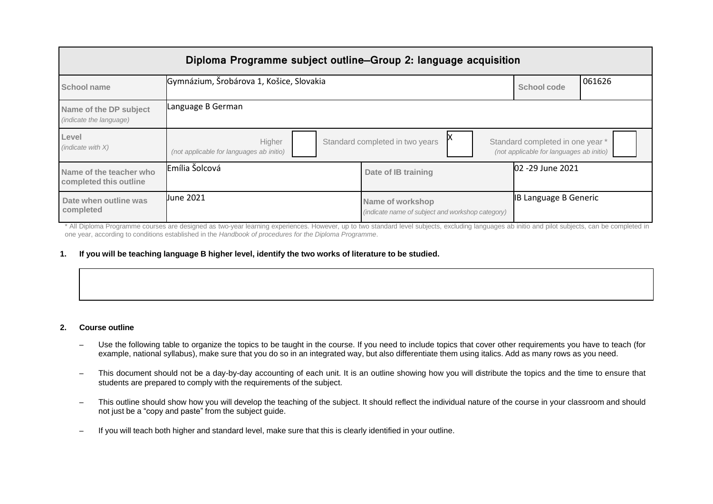| Diploma Programme subject outline–Group 2: language acquisition |                                                    |                                                                      |                                                                              |        |
|-----------------------------------------------------------------|----------------------------------------------------|----------------------------------------------------------------------|------------------------------------------------------------------------------|--------|
| School name                                                     | Gymnázium, Šrobárova 1, Košice, Slovakia           |                                                                      | School code                                                                  | 061626 |
| Name of the DP subject<br>(indicate the language)               | Language B German                                  |                                                                      |                                                                              |        |
| Level<br>(indicate with $X$ )                                   | Higher<br>(not applicable for languages ab initio) | Standard completed in two years                                      | Standard completed in one year *<br>(not applicable for languages ab initio) |        |
| Name of the teacher who<br>completed this outline               | Emília Šolcová                                     | Date of IB training                                                  | 02 -29 June 2021                                                             |        |
| Date when outline was<br>completed                              | <b>Uune 2021</b>                                   | Name of workshop<br>(indicate name of subject and workshop category) | <b>IB Language B Generic</b>                                                 |        |

\* All Diploma Programme courses are designed as two-year learning experiences. However, up to two standard level subjects, excluding languages ab initio and pilot subjects, can be completed in one year, according to conditions established in the *Handbook of procedures for the Diploma Programme*.

### 1. If you will be teaching language B higher level, identify the two works of literature to be studied.

#### **2. Course outline**

- Use the following table to organize the topics to be taught in the course. If you need to include topics that cover other requirements you have to teach (for example, national syllabus), make sure that you do so in an integrated way, but also differentiate them using italics. Add as many rows as you need.
- This document should not be a day-by-day accounting of each unit. It is an outline showing how you will distribute the topics and the time to ensure that students are prepared to comply with the requirements of the subject.
- This outline should show how you will develop the teaching of the subject. It should reflect the individual nature of the course in your classroom and should not just be a "copy and paste" from the subject guide.
- If you will teach both higher and standard level, make sure that this is clearly identified in your outline.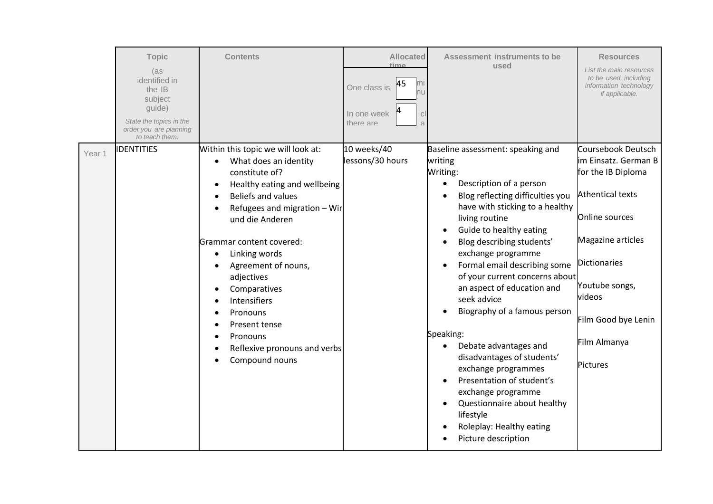|        | <b>Topic</b><br>(as<br>identified in<br>the IB<br>subject<br>guide)<br>State the topics in the<br>order you are planning<br>to teach them. | <b>Contents</b>                                                                                                                                                                                                                                                                                                                                                                                                         | <b>Allocated</b><br>$+i$ mo<br>45<br>One class is<br>าน<br>In one week<br>$\vert$ C<br>there are<br>$\overline{a}$ | Assessment instruments to be<br>used                                                                                                                                                                                                                                                                                                                                                                                                                                                                                                                                                                                                                                             | <b>Resources</b><br>List the main resources<br>to be used, including<br>information technology<br>if applicable.                                                                                                                  |
|--------|--------------------------------------------------------------------------------------------------------------------------------------------|-------------------------------------------------------------------------------------------------------------------------------------------------------------------------------------------------------------------------------------------------------------------------------------------------------------------------------------------------------------------------------------------------------------------------|--------------------------------------------------------------------------------------------------------------------|----------------------------------------------------------------------------------------------------------------------------------------------------------------------------------------------------------------------------------------------------------------------------------------------------------------------------------------------------------------------------------------------------------------------------------------------------------------------------------------------------------------------------------------------------------------------------------------------------------------------------------------------------------------------------------|-----------------------------------------------------------------------------------------------------------------------------------------------------------------------------------------------------------------------------------|
| Year 1 | <b>IDENTITIES</b>                                                                                                                          | Within this topic we will look at:<br>What does an identity<br>constitute of?<br>Healthy eating and wellbeing<br>$\bullet$<br><b>Beliefs and values</b><br>Refugees and migration - Wir<br>und die Anderen<br>Grammar content covered:<br>Linking words<br>Agreement of nouns,<br>adjectives<br>Comparatives<br>Intensifiers<br>Pronouns<br>Present tense<br>Pronouns<br>Reflexive pronouns and verbs<br>Compound nouns | 10 weeks/40<br>lessons/30 hours                                                                                    | Baseline assessment: speaking and<br>writing<br>Writing:<br>Description of a person<br>$\bullet$<br>Blog reflecting difficulties you<br>have with sticking to a healthy<br>living routine<br>Guide to healthy eating<br>Blog describing students'<br>exchange programme<br>Formal email describing some<br>of your current concerns about<br>an aspect of education and<br>seek advice<br>Biography of a famous person<br>Speaking:<br>Debate advantages and<br>$\bullet$<br>disadvantages of students'<br>exchange programmes<br>Presentation of student's<br>exchange programme<br>Questionnaire about healthy<br>lifestyle<br>Roleplay: Healthy eating<br>Picture description | Coursebook Deutsch<br>im Einsatz. German B<br>for the IB Diploma<br><b>Athentical texts</b><br>Online sources<br>Magazine articles<br>Dictionaries<br>Youtube songs,<br>videos<br>Film Good bye Lenin<br>Film Almanya<br>Pictures |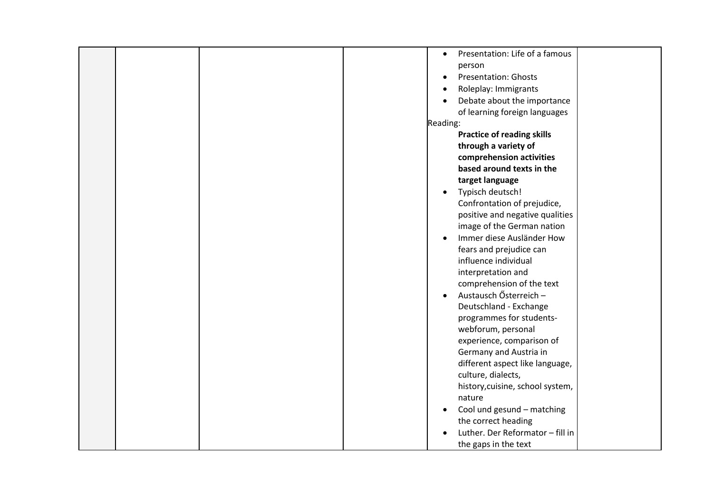|  |  | Presentation: Life of a famous<br>$\bullet$<br>person |
|--|--|-------------------------------------------------------|
|  |  | <b>Presentation: Ghosts</b><br>$\bullet$              |
|  |  | Roleplay: Immigrants<br>$\bullet$                     |
|  |  | Debate about the importance<br>$\bullet$              |
|  |  | of learning foreign languages                         |
|  |  | Reading:                                              |
|  |  | <b>Practice of reading skills</b>                     |
|  |  | through a variety of                                  |
|  |  | comprehension activities                              |
|  |  | based around texts in the                             |
|  |  | target language                                       |
|  |  | Typisch deutsch!<br>$\bullet$                         |
|  |  | Confrontation of prejudice,                           |
|  |  | positive and negative qualities                       |
|  |  | image of the German nation                            |
|  |  | Immer diese Ausländer How<br>$\bullet$                |
|  |  | fears and prejudice can                               |
|  |  | influence individual                                  |
|  |  | interpretation and                                    |
|  |  | comprehension of the text                             |
|  |  | Austausch Ősterreich -<br>$\bullet$                   |
|  |  | Deutschland - Exchange                                |
|  |  | programmes for students-                              |
|  |  | webforum, personal                                    |
|  |  | experience, comparison of                             |
|  |  | Germany and Austria in                                |
|  |  | different aspect like language,                       |
|  |  | culture, dialects,                                    |
|  |  | history, cuisine, school system,                      |
|  |  | nature                                                |
|  |  | Cool und gesund - matching<br>$\bullet$               |
|  |  | the correct heading                                   |
|  |  | Luther. Der Reformator - fill in                      |
|  |  | the gaps in the text                                  |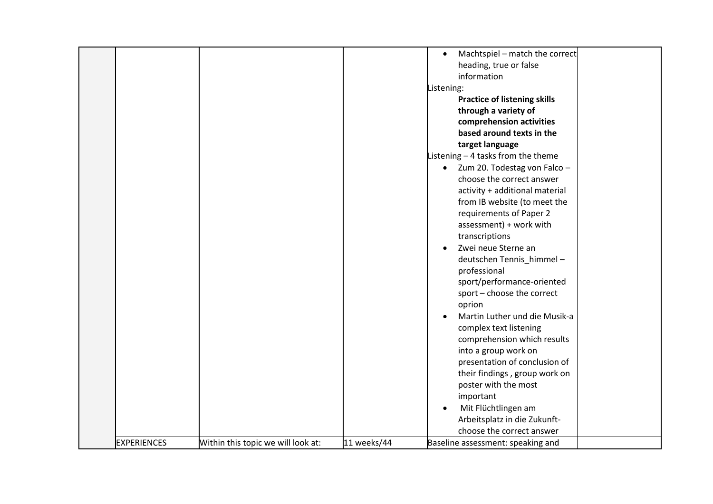|                    |                                    |             | Machtspiel - match the correct<br>$\bullet$<br>heading, true or false<br>information<br>Listening:<br><b>Practice of listening skills</b><br>through a variety of<br>comprehension activities<br>based around texts in the<br>target language<br>Listening - 4 tasks from the theme<br>Zum 20. Todestag von Falco -<br>$\bullet$<br>choose the correct answer<br>activity + additional material<br>from IB website (to meet the<br>requirements of Paper 2<br>assessment) + work with |
|--------------------|------------------------------------|-------------|---------------------------------------------------------------------------------------------------------------------------------------------------------------------------------------------------------------------------------------------------------------------------------------------------------------------------------------------------------------------------------------------------------------------------------------------------------------------------------------|
|                    |                                    |             | transcriptions<br>Zwei neue Sterne an<br>$\bullet$<br>deutschen Tennis_himmel-<br>professional<br>sport/performance-oriented<br>sport - choose the correct<br>oprion<br>Martin Luther und die Musik-a<br>$\bullet$<br>complex text listening<br>comprehension which results<br>into a group work on<br>presentation of conclusion of<br>their findings, group work on                                                                                                                 |
| <b>EXPERIENCES</b> | Within this topic we will look at: | 11 weeks/44 | poster with the most<br>important<br>Mit Flüchtlingen am<br>$\bullet$<br>Arbeitsplatz in die Zukunft-<br>choose the correct answer<br>Baseline assessment: speaking and                                                                                                                                                                                                                                                                                                               |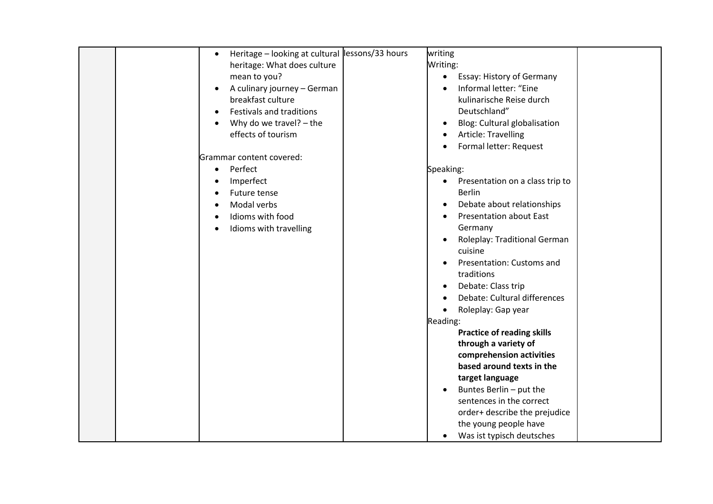| Heritage - looking at cultural lessons/33 hours | writing                                      |
|-------------------------------------------------|----------------------------------------------|
| heritage: What does culture                     | Writing:                                     |
| mean to you?                                    | $\bullet$                                    |
|                                                 | Essay: History of Germany                    |
| A culinary journey - German<br>$\bullet$        | Informal letter: "Eine                       |
| breakfast culture                               | kulinarische Reise durch                     |
| Festivals and traditions<br>$\bullet$           | Deutschland"                                 |
| Why do we travel? - the                         | Blog: Cultural globalisation<br>$\bullet$    |
| effects of tourism                              | Article: Travelling                          |
|                                                 | Formal letter: Request                       |
| Grammar content covered:                        |                                              |
| Perfect<br>$\bullet$                            | Speaking:                                    |
| Imperfect                                       | Presentation on a class trip to<br>$\bullet$ |
| Future tense                                    | <b>Berlin</b>                                |
| Modal verbs                                     | Debate about relationships<br>$\bullet$      |
| Idioms with food                                | <b>Presentation about East</b>               |
| Idioms with travelling                          | Germany                                      |
|                                                 | Roleplay: Traditional German<br>$\bullet$    |
|                                                 | cuisine                                      |
|                                                 | Presentation: Customs and                    |
|                                                 | traditions                                   |
|                                                 | Debate: Class trip                           |
|                                                 | Debate: Cultural differences                 |
|                                                 | Roleplay: Gap year<br>$\bullet$              |
|                                                 | Reading:                                     |
|                                                 | <b>Practice of reading skills</b>            |
|                                                 | through a variety of                         |
|                                                 | comprehension activities                     |
|                                                 | based around texts in the                    |
|                                                 | target language                              |
|                                                 | Buntes Berlin - put the<br>$\bullet$         |
|                                                 | sentences in the correct                     |
|                                                 | order+ describe the prejudice                |
|                                                 | the young people have                        |
|                                                 | Was ist typisch deutsches                    |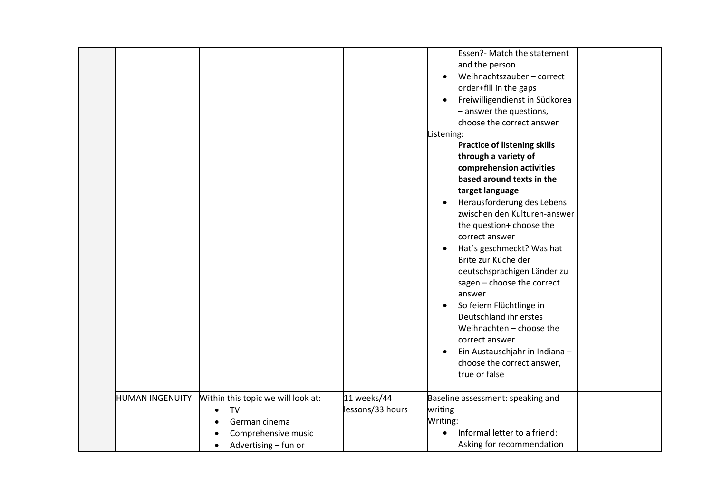| <b>HUMAN INGENUITY</b> | Within this topic we will look at:                                              | 11 weeks/44      | Essen?- Match the statement<br>and the person<br>Weihnachtszauber - correct<br>$\bullet$<br>order+fill in the gaps<br>Freiwilligendienst in Südkorea<br>$\bullet$<br>- answer the questions,<br>choose the correct answer<br>Listening:<br><b>Practice of listening skills</b><br>through a variety of<br>comprehension activities<br>based around texts in the<br>target language<br>Herausforderung des Lebens<br>$\bullet$<br>zwischen den Kulturen-answer<br>the question+ choose the<br>correct answer<br>Hat's geschmeckt? Was hat<br>$\bullet$<br>Brite zur Küche der<br>deutschsprachigen Länder zu<br>sagen - choose the correct<br>answer<br>So feiern Flüchtlinge in<br>$\bullet$<br>Deutschland ihr erstes<br>Weihnachten - choose the<br>correct answer<br>Ein Austauschjahr in Indiana -<br>$\bullet$<br>choose the correct answer,<br>true or false<br>Baseline assessment: speaking and |
|------------------------|---------------------------------------------------------------------------------|------------------|---------------------------------------------------------------------------------------------------------------------------------------------------------------------------------------------------------------------------------------------------------------------------------------------------------------------------------------------------------------------------------------------------------------------------------------------------------------------------------------------------------------------------------------------------------------------------------------------------------------------------------------------------------------------------------------------------------------------------------------------------------------------------------------------------------------------------------------------------------------------------------------------------------|
|                        | TV<br>German cinema<br>Comprehensive music<br>Advertising - fun or<br>$\bullet$ | lessons/33 hours | writing<br>Writing:<br>Informal letter to a friend:<br>$\bullet$<br>Asking for recommendation                                                                                                                                                                                                                                                                                                                                                                                                                                                                                                                                                                                                                                                                                                                                                                                                           |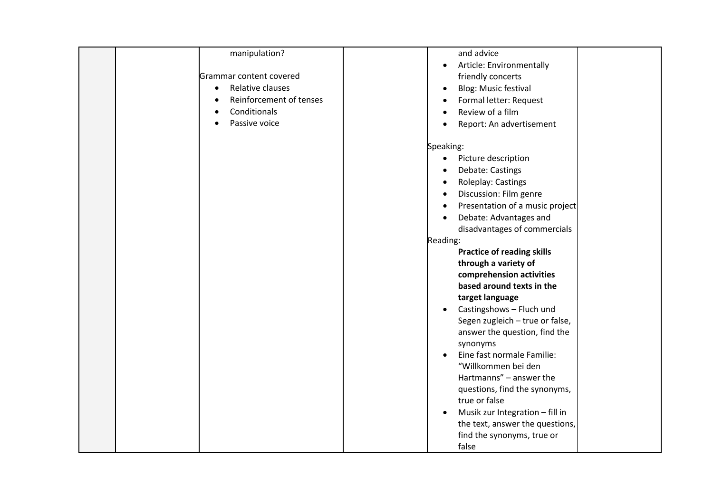# manipulation?

Grammar content covered

• Relative clauses

• Reinforcement of tenses

**Conditionals** 

Passive voice

## and advice

- Article: Environmentally friendly concerts
- Blog: Music festival
- Formal letter: Request
- Review of a film
- Report: An advertisement

### Speaking:

- Picture description
- Debate: Castings
- Roleplay: Castings
- Discussion: Film genre
- Presentation of a music project
- Debate: Advantages and disadvantages of commercials

## Reading:

**Practice of reading skills through a variety of comprehension activities based around texts in the target language**

- Castingshows Fluch und Segen zugleich – true or false, answer the question, find the synonyms
- Eine fast normale Familie: "Willkommen bei den Hartmanns" – answer the questions, find the synonyms, true or false
- Musik zur Integration fill in the text, answer the questions, find the synonyms, true or false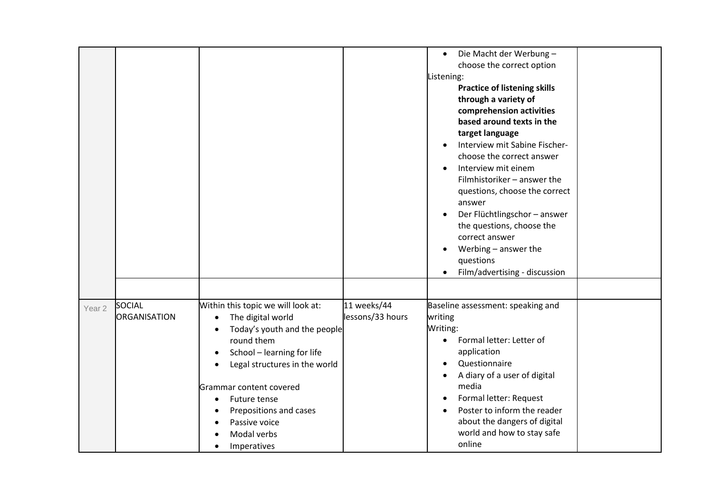|                   |                               |                                                                                                                                                                                                                                                                                                                                                                        |                                 | Die Macht der Werbung-<br>$\bullet$<br>choose the correct option<br>Listening:<br><b>Practice of listening skills</b><br>through a variety of<br>comprehension activities<br>based around texts in the<br>target language<br>Interview mit Sabine Fischer-<br>choose the correct answer<br>Interview mit einem<br>$\bullet$<br>Filmhistoriker - answer the<br>questions, choose the correct<br>answer<br>Der Flüchtlingschor - answer<br>$\bullet$<br>the questions, choose the<br>correct answer<br>Werbing - answer the<br>questions<br>Film/advertising - discussion |
|-------------------|-------------------------------|------------------------------------------------------------------------------------------------------------------------------------------------------------------------------------------------------------------------------------------------------------------------------------------------------------------------------------------------------------------------|---------------------------------|-------------------------------------------------------------------------------------------------------------------------------------------------------------------------------------------------------------------------------------------------------------------------------------------------------------------------------------------------------------------------------------------------------------------------------------------------------------------------------------------------------------------------------------------------------------------------|
|                   |                               |                                                                                                                                                                                                                                                                                                                                                                        |                                 |                                                                                                                                                                                                                                                                                                                                                                                                                                                                                                                                                                         |
| Year <sub>2</sub> | SOCIAL<br><b>ORGANISATION</b> | Within this topic we will look at:<br>The digital world<br>$\bullet$<br>Today's youth and the people<br>$\bullet$<br>round them<br>School - learning for life<br>$\bullet$<br>Legal structures in the world<br>$\bullet$<br>Grammar content covered<br>Future tense<br>$\bullet$<br>Prepositions and cases<br>$\bullet$<br>Passive voice<br>Modal verbs<br>Imperatives | 11 weeks/44<br>lessons/33 hours | Baseline assessment: speaking and<br>writing<br>Writing:<br>Formal letter: Letter of<br>$\bullet$<br>application<br>Questionnaire<br>$\bullet$<br>A diary of a user of digital<br>media<br>Formal letter: Request<br>$\bullet$<br>Poster to inform the reader<br>about the dangers of digital<br>world and how to stay safe<br>online                                                                                                                                                                                                                                   |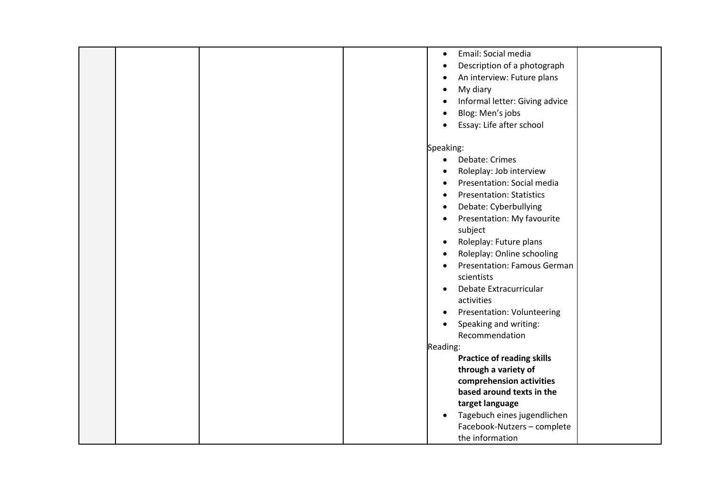|  |  | $\bullet$ | Email: Social media                |  |
|--|--|-----------|------------------------------------|--|
|  |  | $\bullet$ | Description of a photograph        |  |
|  |  | $\bullet$ | An interview: Future plans         |  |
|  |  | $\bullet$ | My diary                           |  |
|  |  | $\bullet$ | Informal letter: Giving advice     |  |
|  |  | $\bullet$ | Blog: Men's jobs                   |  |
|  |  | $\bullet$ | Essay: Life after school           |  |
|  |  |           |                                    |  |
|  |  | Speaking: |                                    |  |
|  |  | $\bullet$ | Debate: Crimes                     |  |
|  |  | $\bullet$ | Roleplay: Job interview            |  |
|  |  | $\bullet$ | Presentation: Social media         |  |
|  |  | $\bullet$ | <b>Presentation: Statistics</b>    |  |
|  |  | $\bullet$ | Debate: Cyberbullying              |  |
|  |  | $\bullet$ | Presentation: My favourite         |  |
|  |  |           | subject                            |  |
|  |  | $\bullet$ | Roleplay: Future plans             |  |
|  |  | $\bullet$ | Roleplay: Online schooling         |  |
|  |  | $\bullet$ | <b>Presentation: Famous German</b> |  |
|  |  |           | scientists                         |  |
|  |  | $\bullet$ | Debate Extracurricular             |  |
|  |  |           | activities                         |  |
|  |  | $\bullet$ | <b>Presentation: Volunteering</b>  |  |
|  |  | $\bullet$ | Speaking and writing:              |  |
|  |  |           | Recommendation                     |  |
|  |  | Reading:  |                                    |  |
|  |  |           | <b>Practice of reading skills</b>  |  |
|  |  |           | through a variety of               |  |
|  |  |           | comprehension activities           |  |
|  |  |           | based around texts in the          |  |
|  |  |           | target language                    |  |
|  |  | $\bullet$ | Tagebuch eines jugendlichen        |  |
|  |  |           | Facebook-Nutzers - complete        |  |
|  |  |           | the information                    |  |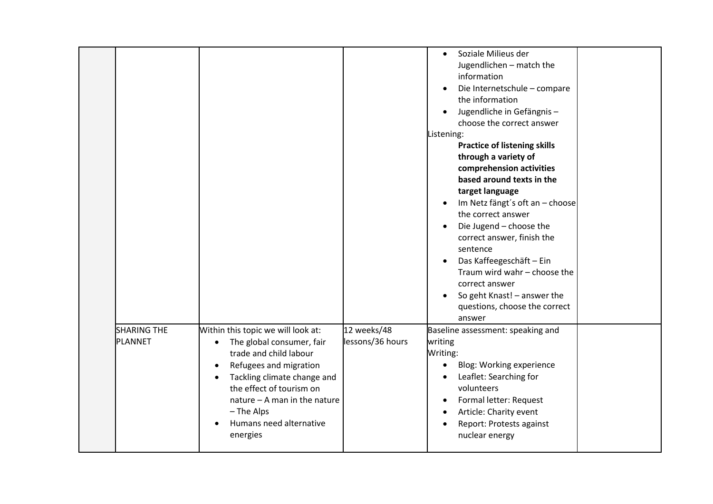|                               |                                                                                                                                                                                                                                                                                                              |                                 | Soziale Milieus der<br>$\bullet$<br>Jugendlichen - match the<br>information<br>Die Internetschule - compare<br>the information<br>Jugendliche in Gefängnis-<br>$\bullet$<br>choose the correct answer<br>Listening:<br><b>Practice of listening skills</b><br>through a variety of<br>comprehension activities<br>based around texts in the<br>target language<br>Im Netz fängt's oft an - choose<br>the correct answer<br>Die Jugend - choose the<br>$\bullet$<br>correct answer, finish the<br>sentence<br>Das Kaffeegeschäft - Ein<br>$\bullet$<br>Traum wird wahr - choose the<br>correct answer<br>So geht Knast! - answer the<br>questions, choose the correct<br>answer |
|-------------------------------|--------------------------------------------------------------------------------------------------------------------------------------------------------------------------------------------------------------------------------------------------------------------------------------------------------------|---------------------------------|--------------------------------------------------------------------------------------------------------------------------------------------------------------------------------------------------------------------------------------------------------------------------------------------------------------------------------------------------------------------------------------------------------------------------------------------------------------------------------------------------------------------------------------------------------------------------------------------------------------------------------------------------------------------------------|
| <b>SHARING THE</b><br>PLANNET | Within this topic we will look at:<br>The global consumer, fair<br>$\bullet$<br>trade and child labour<br>Refugees and migration<br>$\bullet$<br>Tackling climate change and<br>$\bullet$<br>the effect of tourism on<br>nature $-$ A man in the nature<br>- The Alps<br>Humans need alternative<br>energies | 12 weeks/48<br>lessons/36 hours | Baseline assessment: speaking and<br>writing<br>Writing:<br>Blog: Working experience<br>$\bullet$<br>Leaflet: Searching for<br>volunteers<br>Formal letter: Request<br>$\bullet$<br>Article: Charity event<br>$\bullet$<br>Report: Protests against<br>$\bullet$<br>nuclear energy                                                                                                                                                                                                                                                                                                                                                                                             |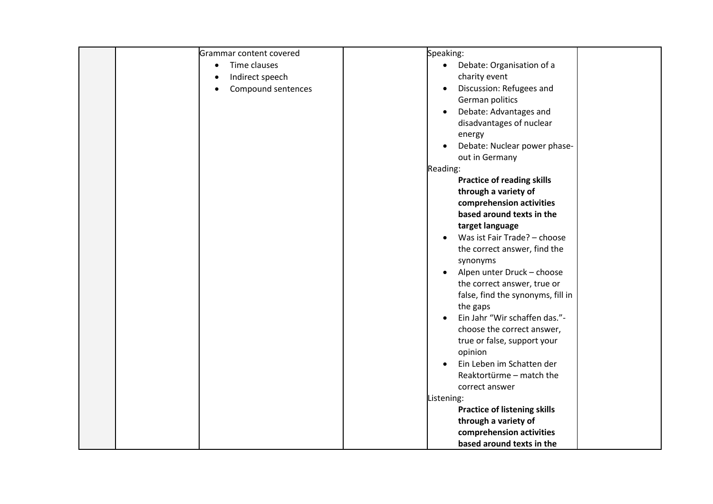| Grammar content covered   | Speaking:                                 |
|---------------------------|-------------------------------------------|
| Time clauses<br>$\bullet$ | Debate: Organisation of a<br>$\bullet$    |
| Indirect speech           | charity event                             |
| Compound sentences        | Discussion: Refugees and<br>$\bullet$     |
|                           | German politics                           |
|                           | Debate: Advantages and<br>$\bullet$       |
|                           | disadvantages of nuclear                  |
|                           | energy                                    |
|                           | Debate: Nuclear power phase-<br>$\bullet$ |
|                           | out in Germany                            |
|                           | Reading:                                  |
|                           | <b>Practice of reading skills</b>         |
|                           | through a variety of                      |
|                           | comprehension activities                  |
|                           | based around texts in the                 |
|                           | target language                           |
|                           | Was ist Fair Trade? - choose<br>$\bullet$ |
|                           | the correct answer, find the              |
|                           | synonyms                                  |
|                           | Alpen unter Druck - choose<br>$\bullet$   |
|                           | the correct answer, true or               |
|                           | false, find the synonyms, fill in         |
|                           | the gaps<br>Ein Jahr "Wir schaffen das."- |
|                           | $\bullet$<br>choose the correct answer,   |
|                           | true or false, support your               |
|                           | opinion                                   |
|                           | Ein Leben im Schatten der<br>$\bullet$    |
|                           | Reaktortürme - match the                  |
|                           | correct answer                            |
|                           | Listening:                                |
|                           | <b>Practice of listening skills</b>       |
|                           | through a variety of                      |
|                           | comprehension activities                  |
|                           | based around texts in the                 |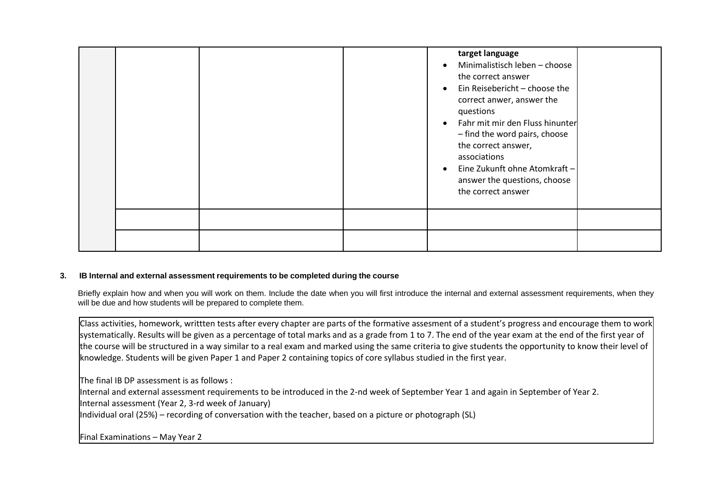|  |  | target language<br>Minimalistisch leben - choose<br>the correct answer<br>Ein Reisebericht - choose the<br>$\bullet$<br>correct anwer, answer the<br>questions<br>Fahr mit mir den Fluss hinunter<br>$\bullet$<br>- find the word pairs, choose<br>the correct answer,<br>associations<br>Eine Zukunft ohne Atomkraft -<br>$\bullet$<br>answer the questions, choose<br>the correct answer |
|--|--|--------------------------------------------------------------------------------------------------------------------------------------------------------------------------------------------------------------------------------------------------------------------------------------------------------------------------------------------------------------------------------------------|
|  |  |                                                                                                                                                                                                                                                                                                                                                                                            |
|  |  |                                                                                                                                                                                                                                                                                                                                                                                            |

### **3. IB Internal and external assessment requirements to be completed during the course**

Briefly explain how and when you will work on them. Include the date when you will first introduce the internal and external assessment requirements, when they will be due and how students will be prepared to complete them.

Class activities, homework, writtten tests after every chapter are parts of the formative assesment of a student's progress and encourage them to work systematically. Results will be given as a percentage of total marks and as a grade from 1 to 7. The end of the year exam at the end of the first year of the course will be structured in a way similar to a real exam and marked using the same criteria to give students the opportunity to know their level of knowledge. Students will be given Paper 1 and Paper 2 containing topics of core syllabus studied in the first year.

The final IB DP assessment is as follows :

Internal and external assessment requirements to be introduced in the 2-nd week of September Year 1 and again in September of Year 2.

Internal assessment (Year 2, 3-rd week of January)

Individual oral (25%) – recording of conversation with the teacher, based on a picture or photograph (SL)

Final Examinations – May Year 2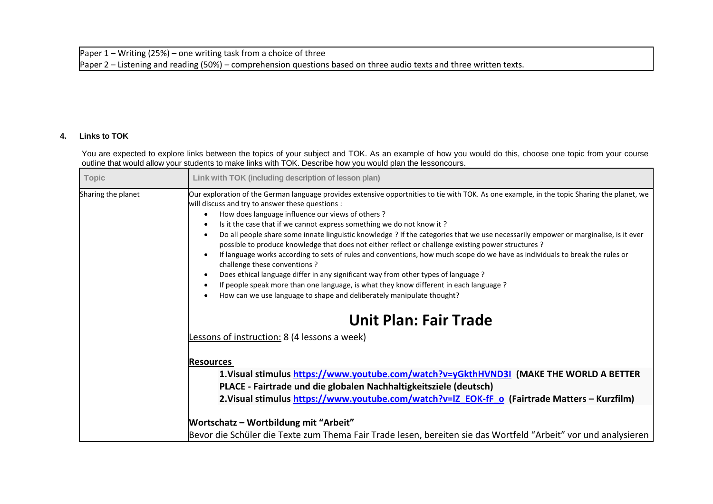## **4. Links to TOK**

You are expected to explore links between the topics of your subject and TOK. As an example of how you would do this, choose one topic from your course outline that would allow your students to make links with TOK. Describe how you would plan the lessoncours.

| Topic              | Link with TOK (including description of lesson plan)                                                                                                                                                                                                                                                                                                                                                                                                                                                                                                                                                                                                                                                                                                                                                                                                                                                                                                                                                                                                                                                                                                                          |
|--------------------|-------------------------------------------------------------------------------------------------------------------------------------------------------------------------------------------------------------------------------------------------------------------------------------------------------------------------------------------------------------------------------------------------------------------------------------------------------------------------------------------------------------------------------------------------------------------------------------------------------------------------------------------------------------------------------------------------------------------------------------------------------------------------------------------------------------------------------------------------------------------------------------------------------------------------------------------------------------------------------------------------------------------------------------------------------------------------------------------------------------------------------------------------------------------------------|
| Sharing the planet | Our exploration of the German language provides extensive opportnities to tie with TOK. As one example, in the topic Sharing the planet, we<br>will discuss and try to answer these questions :<br>How does language influence our views of others?<br>$\bullet$<br>Is it the case that if we cannot express something we do not know it?<br>$\bullet$<br>Do all people share some innate linguistic knowledge ? If the categories that we use necessarily empower or marginalise, is it ever<br>$\bullet$<br>possible to produce knowledge that does not either reflect or challenge existing power structures ?<br>If language works according to sets of rules and conventions, how much scope do we have as individuals to break the rules or<br>$\bullet$<br>challenge these conventions?<br>Does ethical language differ in any significant way from other types of language ?<br>$\bullet$<br>If people speak more than one language, is what they know different in each language?<br>$\bullet$<br>How can we use language to shape and deliberately manipulate thought?<br>$\bullet$<br><b>Unit Plan: Fair Trade</b><br>Lessons of instruction: 8 (4 lessons a week) |
|                    | <b>Resources</b>                                                                                                                                                                                                                                                                                                                                                                                                                                                                                                                                                                                                                                                                                                                                                                                                                                                                                                                                                                                                                                                                                                                                                              |
|                    | 1.Visual stimulus https://www.youtube.com/watch?v=yGkthHVND3I (MAKE THE WORLD A BETTER                                                                                                                                                                                                                                                                                                                                                                                                                                                                                                                                                                                                                                                                                                                                                                                                                                                                                                                                                                                                                                                                                        |
|                    | PLACE - Fairtrade und die globalen Nachhaltigkeitsziele (deutsch)<br>2. Visual stimulus https://www.youtube.com/watch?v=lZ EOK-fF o (Fairtrade Matters - Kurzfilm)                                                                                                                                                                                                                                                                                                                                                                                                                                                                                                                                                                                                                                                                                                                                                                                                                                                                                                                                                                                                            |
|                    |                                                                                                                                                                                                                                                                                                                                                                                                                                                                                                                                                                                                                                                                                                                                                                                                                                                                                                                                                                                                                                                                                                                                                                               |
|                    | <b>Wortschatz - Wortbildung mit "Arbeit"</b>                                                                                                                                                                                                                                                                                                                                                                                                                                                                                                                                                                                                                                                                                                                                                                                                                                                                                                                                                                                                                                                                                                                                  |
|                    | Bevor die Schüler die Texte zum Thema Fair Trade lesen, bereiten sie das Wortfeld "Arbeit" vor und analysieren                                                                                                                                                                                                                                                                                                                                                                                                                                                                                                                                                                                                                                                                                                                                                                                                                                                                                                                                                                                                                                                                |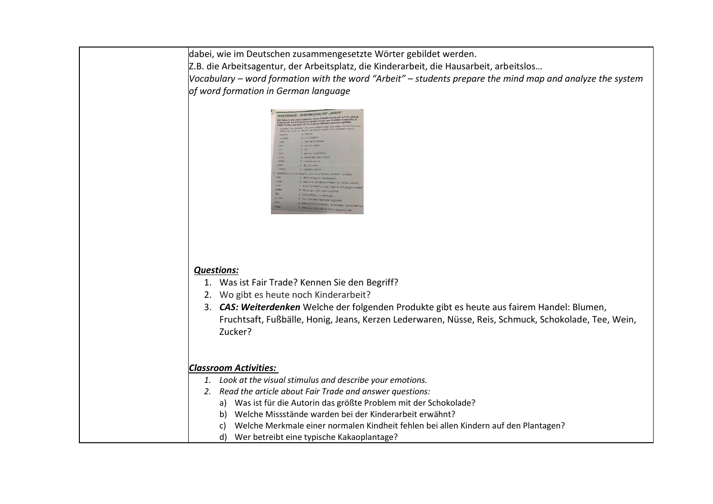| dabei, wie im Deutschen zusammengesetzte Wörter gebildet werden.                                                                      |
|---------------------------------------------------------------------------------------------------------------------------------------|
| Z.B. die Arbeitsagentur, der Arbeitsplatz, die Kinderarbeit, die Hausarbeit, arbeitslos                                               |
| Vocabulary – word formation with the word "Arbeit" – students prepare the mind map and analyze the system                             |
| of word formation in German language                                                                                                  |
|                                                                                                                                       |
| <b>PRTSCHATZ - WORTBILDUNG MIT "ARBEIT</b>                                                                                            |
| - Arbeite                                                                                                                             |
| b zur Sicherh<br>sann nicht sebeite<br>di woman ai                                                                                    |
|                                                                                                                                       |
| vall nicht arbei                                                                                                                      |
| a UMCEF engaginn sich dagegen<br>b. Wenn man rour ein paar Toge in                                                                    |
| of exam Bacernho<br>Putzen, bürgert, stauben ma                                                                                       |
| Vicht von einer Maschine hergestellt<br>g Abvechsend vormittags, nachmittags, nachts art                                              |
| Werin man ein Loch im T-Shirt repaneren will                                                                                          |
|                                                                                                                                       |
|                                                                                                                                       |
|                                                                                                                                       |
|                                                                                                                                       |
| <b>Questions:</b>                                                                                                                     |
| 1. Was ist Fair Trade? Kennen Sie den Begriff?                                                                                        |
| 2. Wo gibt es heute noch Kinderarbeit?<br>3. CAS: Weiterdenken Welche der folgenden Produkte gibt es heute aus fairem Handel: Blumen, |
| Fruchtsaft, Fußbälle, Honig, Jeans, Kerzen Lederwaren, Nüsse, Reis, Schmuck, Schokolade, Tee, Wein,                                   |
| Zucker?                                                                                                                               |
|                                                                                                                                       |
|                                                                                                                                       |
| <b>Classroom Activities:</b>                                                                                                          |
| 1. Look at the visual stimulus and describe your emotions.                                                                            |
| 2. Read the article about Fair Trade and answer questions:                                                                            |
| Was ist für die Autorin das größte Problem mit der Schokolade?<br>a)                                                                  |
| Welche Missstände warden bei der Kinderarbeit erwähnt?<br>b)                                                                          |
| Welche Merkmale einer normalen Kindheit fehlen bei allen Kindern auf den Plantagen?<br>C)                                             |
| Wer betreibt eine typische Kakaoplantage?<br>d)                                                                                       |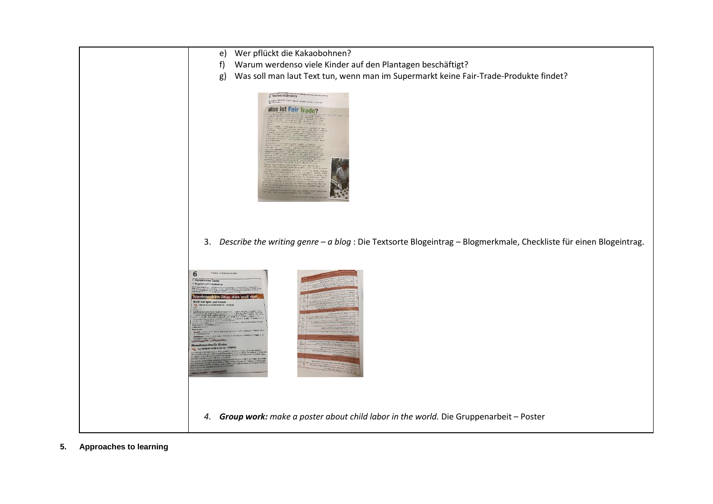

**5. Approaches to learning**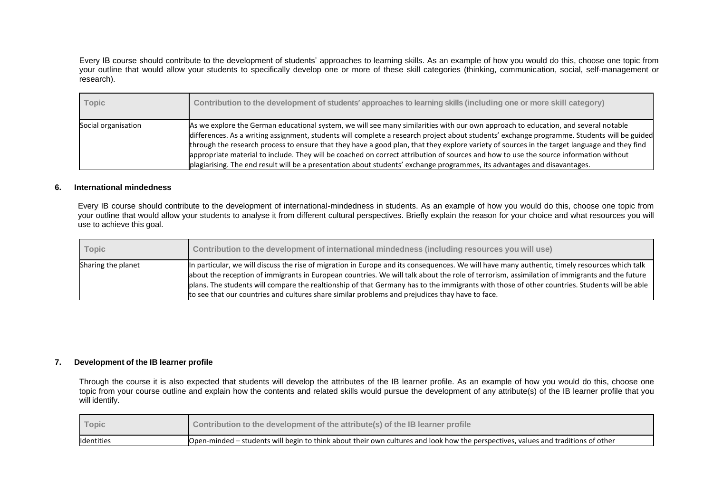Every IB course should contribute to the development of students' approaches to learning skills. As an example of how you would do this, choose one topic from your outline that would allow your students to specifically develop one or more of these skill categories (thinking, communication, social, self-management or research).

| Topic               | Contribution to the development of students' approaches to learning skills (including one or more skill category)                                                                                                                                                                                                                                                                                                                                                                                                                                                                                                                                                                                       |
|---------------------|---------------------------------------------------------------------------------------------------------------------------------------------------------------------------------------------------------------------------------------------------------------------------------------------------------------------------------------------------------------------------------------------------------------------------------------------------------------------------------------------------------------------------------------------------------------------------------------------------------------------------------------------------------------------------------------------------------|
| Social organisation | As we explore the German educational system, we will see many similarities with our own approach to education, and several notable<br>differences. As a writing assignment, students will complete a research project about students' exchange programme. Students will be guided<br>through the research process to ensure that they have a good plan, that they explore variety of sources in the target language and they find<br>appropriate material to include. They will be coached on correct attribution of sources and how to use the source information without<br>plagiarising. The end result will be a presentation about students' exchange programmes, its advantages and disavantages. |

#### **6. International mindedness**

Every IB course should contribute to the development of international-mindedness in students. As an example of how you would do this, choose one topic from your outline that would allow your students to analyse it from different cultural perspectives. Briefly explain the reason for your choice and what resources you will use to achieve this goal.

| <b>Topic</b>       | Contribution to the development of international mindedness (including resources you will use)                                                                                                                                                                                                                                                                                                                                                                                                                                                   |
|--------------------|--------------------------------------------------------------------------------------------------------------------------------------------------------------------------------------------------------------------------------------------------------------------------------------------------------------------------------------------------------------------------------------------------------------------------------------------------------------------------------------------------------------------------------------------------|
| Sharing the planet | In particular, we will discuss the rise of migration in Europe and its consequences. We will have many authentic, timely resources which talk<br>about the reception of immigrants in European countries. We will talk about the role of terrorism, assimilation of immigrants and the future<br>plans. The students will compare the realtionship of that Germany has to the immigrants with those of other countries. Students will be able<br>to see that our countries and cultures share similar problems and prejudices thay have to face. |

#### **7. Development of the IB learner profile**

Through the course it is also expected that students will develop the attributes of the IB learner profile. As an example of how you would do this, choose one topic from your course outline and explain how the contents and related skills would pursue the development of any attribute(s) of the IB learner profile that you will identify.

| Topic      | Contribution to the development of the attribute(s) of the IB learner profile                                                     |
|------------|-----------------------------------------------------------------------------------------------------------------------------------|
| Identities | Open-minded – students will begin to think about their own cultures and look how the perspectives, values and traditions of other |